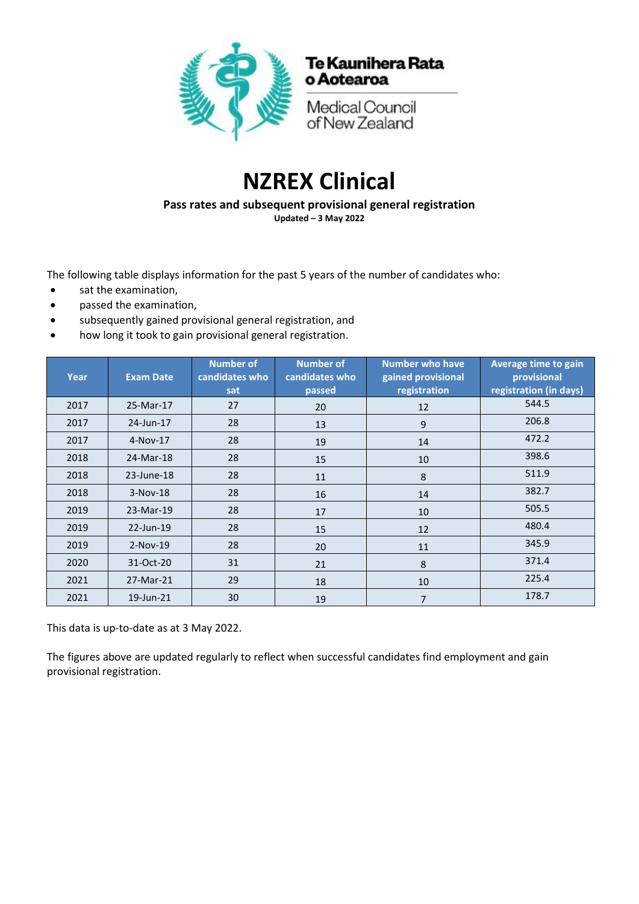

## **NZREX Clinical**

**Pass rates and subsequent provisional general registration Updated – 3 May 2022**

The following table displays information for the past 5 years of the number of candidates who:

- sat the examination,
- passed the examination,
- subsequently gained provisional general registration, and
- how long it took to gain provisional general registration.

| Year | <b>Exam Date</b> | <b>Number of</b><br>candidates who<br>sat | <b>Number of</b><br>candidates who<br>passed | <b>Number who have</b><br>gained provisional<br>registration | Average time to gain<br>provisional<br>registration (in days) |
|------|------------------|-------------------------------------------|----------------------------------------------|--------------------------------------------------------------|---------------------------------------------------------------|
| 2017 | 25-Mar-17        | 27                                        | 20                                           | 12                                                           | 544.5                                                         |
| 2017 | 24-Jun-17        | 28                                        | 13                                           | 9                                                            | 206.8                                                         |
| 2017 | 4-Nov-17         | 28                                        | 19                                           | 14                                                           | 472.2                                                         |
| 2018 | 24-Mar-18        | 28                                        | 15                                           | 10                                                           | 398.6                                                         |
| 2018 | 23-June-18       | 28                                        | 11                                           | 8                                                            | 511.9                                                         |
| 2018 | 3-Nov-18         | 28                                        | 16                                           | 14                                                           | 382.7                                                         |
| 2019 | 23-Mar-19        | 28                                        | 17                                           | 10                                                           | 505.5                                                         |
| 2019 | 22-Jun-19        | 28                                        | 15                                           | 12                                                           | 480.4                                                         |
| 2019 | $2-Nov-19$       | 28                                        | 20                                           | 11                                                           | 345.9                                                         |
| 2020 | 31-Oct-20        | 31                                        | 21                                           | 8                                                            | 371.4                                                         |
| 2021 | 27-Mar-21        | 29                                        | 18                                           | 10                                                           | 225.4                                                         |
| 2021 | 19-Jun-21        | 30                                        | 19                                           | $\overline{7}$                                               | 178.7                                                         |

This data is up-to-date as at 3 May 2022.

The figures above are updated regularly to reflect when successful candidates find employment and gain provisional registration.